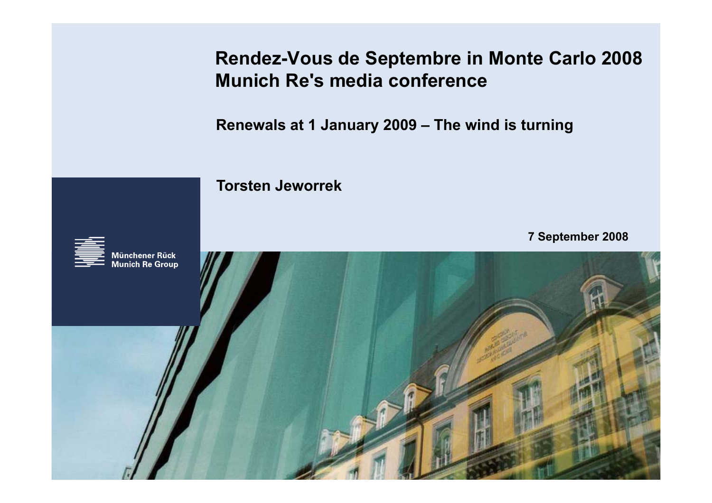**Rendez-Vous de Septembre in Monte Carlo 2008 Munich Re s' media conference**

**Renewals at 1 January 2009 – The wind is turning**

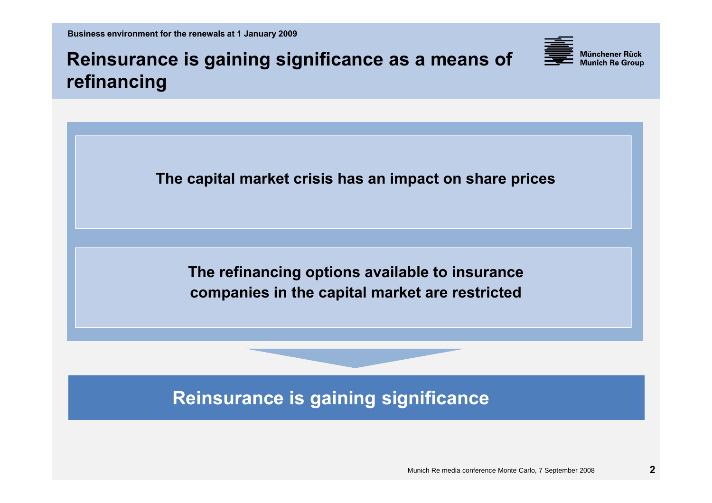**Business environment for the renewals at 1 January 2009** 

**Reinsurance is gaining significance as a means of refinancing**

**The capital market crisis has an impact on share prices** 

**The refinancing options available to insurance companies in the capital market are restricted**

## **Reinsurance is gaining significance**

Münchener Rück **Munich Re Group**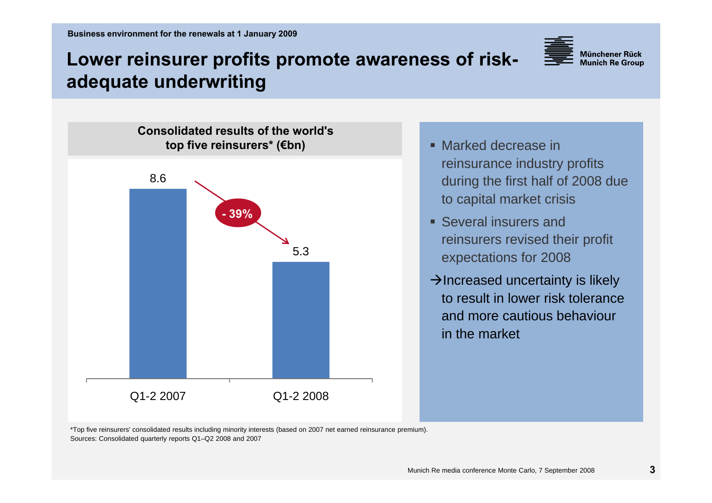

## **Lower reinsurer profits promote awareness of riskadequate underwriting**



- Marked decrease in reinsurance industry profits during the first half of 2008 due to capital market crisis
- Several insurers and reinsurers revised their profit expectations for 2008
- $\rightarrow$  Increased uncertainty is likely to result in lower risk tolerance and more cautious behaviour in the market

\*Top five reinsurers' consolidated results including minority interests (based on 2007 net earned reinsurance premium). Sources: Consolidated quarterly reports Q1–Q2 2008 and 2007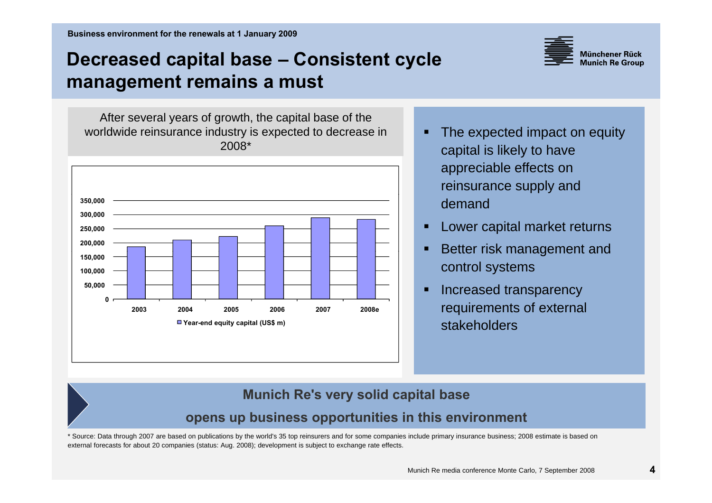## **Decreased capital base ‒ Consistent cycle management remains <sup>a</sup> must**



After several years of growth, the capital base of the worldwide reinsurance industry is expected to decrease in **The expected impact on equity** 2008\*



- capital is likely to have appreciable effects on reinsurance supply and demand
- Lower capital market returns
- control systems
- Increased transparency stakeholders

### **Munich Re's very solid capital base**

### **opens up business opportunities in this environment p ppp**

\* Source: Data through 2007 are based on publications by the world's 35 top reinsurers and for some companies include primary insurance business; 2008 estimate is based on external forecasts for about 20 companies (status: Aug. 2008); development is subject to exchange rate effects.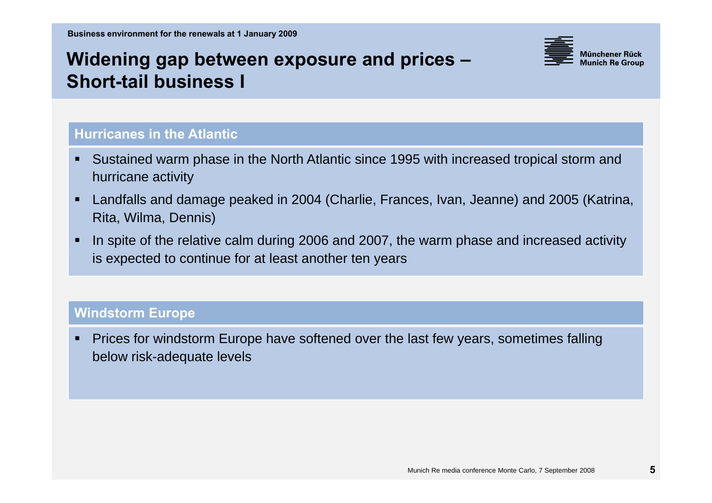### **Widening gap between exposure and prices ‒ Short tail business I -tail**



### **Hurricanes in the Atlantic**

- Sustained warm phase in the North Atlantic since 1995 with increased tropical storm and hurricane activity
- Landfalls and damage peaked in 2004 (Charlie, Frances, Ivan, Jeanne) and 2005 (Katrina, Rita, Wilma, Dennis)
- In spite of the relative calm during 2006 and 2007, the warm phase and increased activity is expected to continue for at least another ten years

### **Wi d t E n s torm Europe**

 Prices for windstorm Europe have softened over the last few years, sometimes falling below risk-adequate levels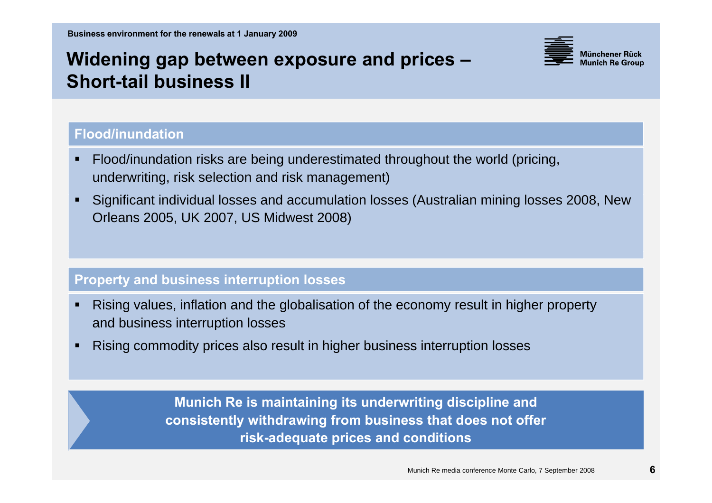# **Widening gap between exposure and prices ‒ Short tail business II -tail IIFlood/inundation**

- Flood/inundation risks are being underestimated throughout the world (pricing, underwriting, risk selection and risk management)
- Significant individual losses and accumulation losses ( Australian mining losses 2008, New Orleans 2005, UK 2007, US Midwest 2008)

### **Property and business interruption losses**

- Rising values, inflation and the globalisation of the economy result in higher property and business interruption losses
- Rising commodity prices also result in higher business interruption losses

**Munich Re is maintaining its underwriting discipline and consistently withdrawing from business that does not offer risk-adequate prices and conditions**

Münchener Rück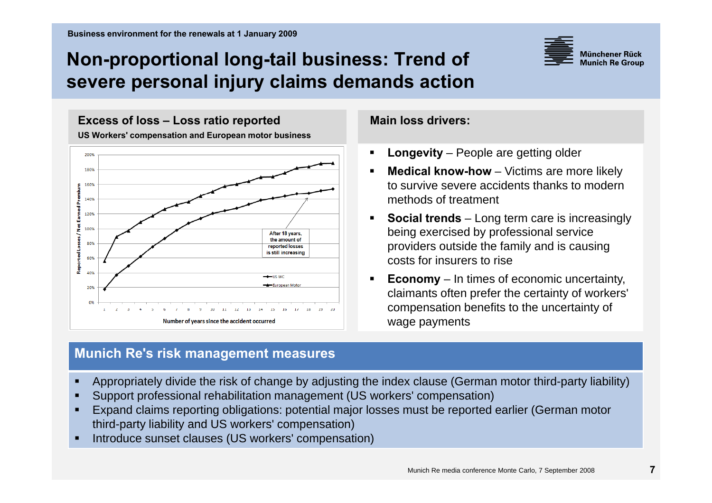## **Non-proportional long-tail business: Trend of severe personal injury claims demands action injury claims**



**Excess of loss – Loss ratio reported**

**US Workers' compensation and European motor business Workers**



### **Munich Re's risk management measures**

### **Main loss drivers:**

- $\blacksquare$ **Longevity** – People are getting older
- Г **Medical know-how** – Victims are more likely to survive severe accidents thanks to modern methods of treatment
- Г **Social trends** – Long term care is increasingly being exercised by professional service providers outside the family and is causing costs for insurers to rise
- ▙ **Economy** – In times of economic uncertainty, claimants often prefer the certainty of workers' compensation benefits to the uncertainty of wage payments
- П Appropriately divide the risk of change by adjusting the index clause (German motor third-party liability)
- Support professional rehabilitation management (US workers' compensation)
- П Expand claims reporting obligations: potential major losses must be reported earlier (German motor third-party liability and US workers' compensation)
- Introduce sunset clauses (US workers' compensation)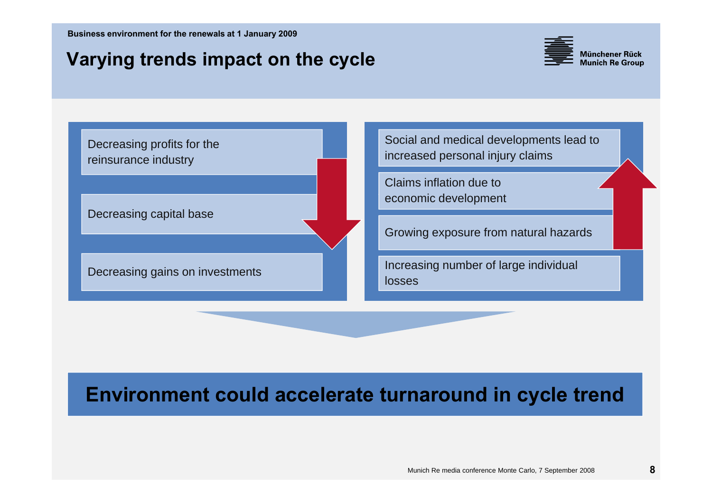## **Varying trends impact on the cycle**



reinsurance industry

Decreasing capital base

Decreasing profits for the social developments lead to the Social and medical developments lead to increased personal injury claims

> Claims inflation due to economic development

Growing exposure from natural hazards

Decreasing capital base<br>Decreasing gains on investments Increasing number of large individual losses

## **Environment could accelerate turnaround in cycle trend**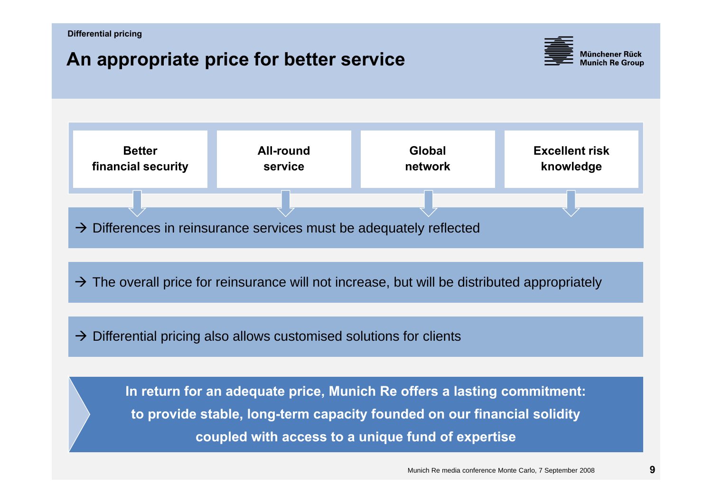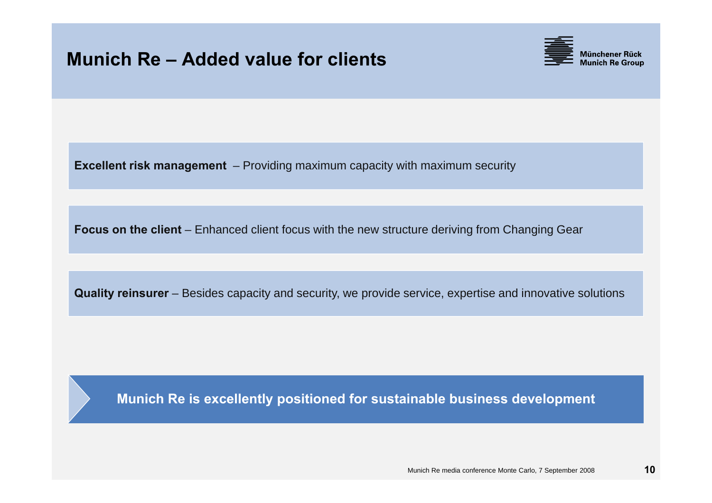## **Munich Re – Added value for clients**



**Excellent risk management** – Providing maximum capacity with maximum security

**Focus on the client** – Enhanced client focus with the new structure deriving from Changing Gear

**Quality reinsurer** – Besides capacity and security, we provide service, expertise and innovative solutions

**Munich Re is excellently positioned for sustainable business development**